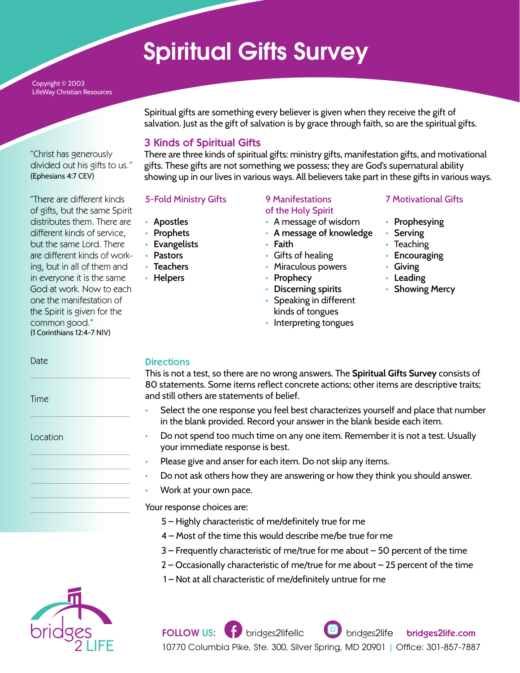# Spiritual Gifts Survey

Copyright © 2003 LifeWay Christian Resources

"Christ has generously divided out his gifts to us." (Ephesians 4:7 CEV)

"There are different kinds of gifts, but the same Spirit distributes them. There are different kinds of service, but the same Lord. There are different kinds of working, but in all of them and in everyone it is the same God at work. Now to each one the manifestation of the Spirit is given for the common good." (1 Corinthians 12:4-7 NIV)

Spiritual gifts are something every believer is given when they receive the gift of salvation. Just as the gift of salvation is by grace through faith, so are the spiritual gifts.

### 3 Kinds of Spiritual Gifts

There are three kinds of spiritual gifts: ministry gifts, manifestation gifts, and motivational gifts. These gifts are not something we possess; they are God's supernatural ability showing up in our lives in various ways. All believers take part in these gifts in various ways.

- **5-Fold Ministry Gifts**
- **• Apostles**
- **• Prophets**
- **• Evangelists**
- **• Pastors**
- **• Teachers**
- **• Helpers**

#### **9 Manifestations of the Holy Spirit**

- A message of wisdom
- **• A message of knowledge**
- **• Faith**
- Gifts of healing
- Miraculous powers
- **• Prophecy**
- **• Discerning spirits**
- Speaking in different kinds of tongues
- Interpreting tongues

#### **7 Motivational Gifts**

- **• Prophesying**
- **• Serving**
- **Teaching**
- **• Encouraging**
- **• Giving**
- **• Leading**
- **• Showing Mercy**

Date

Time

Location

#### **Directions**

This is not a test, so there are no wrong answers. The **Spiritual Gifts Survey** consists of 80 statements. Some items reflect concrete actions; other items are descriptive traits; and still others are statements of belief.

- Select the one response you feel best characterizes yourself and place that number in the blank provided. Record your answer in the blank beside each item.
- Do not spend too much time on any one item. Remember it is not a test. Usually your immediate response is best.
- Please give and anser for each item. Do not skip any items.
- Do not ask others how they are answering or how they think you should answer.
- Work at your own pace.

Your response choices are:

- 5 Highly characteristic of me/definitely true for me
- 4 Most of the time this would describe me/be true for me
- 3 Frequently characteristic of me/true for me about 50 percent of the time
- 2 Occasionally characteristic of me/true for me about 25 percent of the time
- 1 Not at all characteristic of me/definitely untrue for me

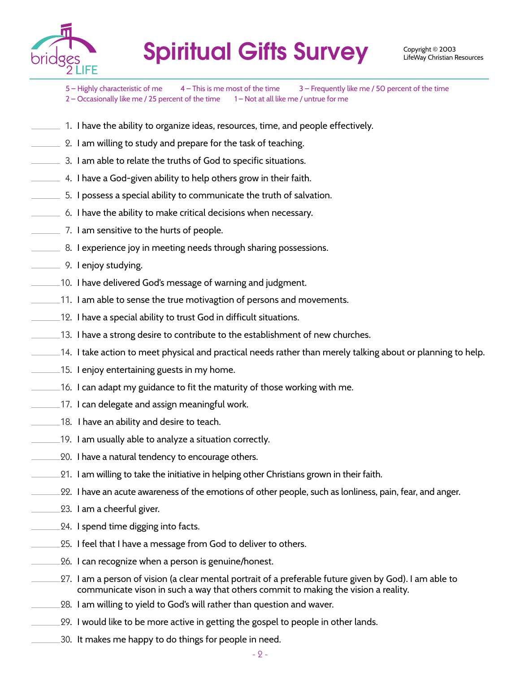

Spiritual Gifts Survey Copyright © 2003

5 – Highly characteristic of me  $4 -$  This is me most of the time  $3 -$  Frequently like me / 50 percent of the time 2 – Occasionally like me / 25 percent of the time 1 – Not at all like me / untrue for me

- $\_$  1. I have the ability to organize ideas, resources, time, and people effectively.
- $\_$  2. I am willing to study and prepare for the task of teaching.
- $\_$  3. I am able to relate the truths of God to specific situations.
- $\hspace{0.1mm}$   $\hspace{0.1mm}$  4. I have a God-given ability to help others grow in their faith.
- $-5.$  I possess a special ability to communicate the truth of salvation.
- $\_$  6. I have the ability to make critical decisions when necessary.
- $\equiv$  7. I am sensitive to the hurts of people.
- 8. I experience joy in meeting needs through sharing possessions.
- 9. I enjoy studying.
- 10. I have delivered God's message of warning and judgment.
- 11. I am able to sense the true motivagtion of persons and movements.
- 12. I have a special ability to trust God in difficult situations.
- $\rule{1em}{0.15mm}$   $\,$   $\,$   $\,$  I have a strong desire to contribute to the establishment of new churches.
- $\_\!\_\!\!\_\!\$ 14. I take action to meet physical and practical needs rather than merely talking about or planning to help.
- 15. I enjoy entertaining guests in my home.
- $\_$  16. I can adapt my guidance to fit the maturity of those working with me.
- 17. I can delegate and assign meaningful work.
- 18. I have an ability and desire to teach.
- 19. I am usually able to analyze a situation correctly.
- $\char`_\mathtt{20.}$  I have a natural tendency to encourage others.
- 21. I am willing to take the initiative in helping other Christians grown in their faith.
- 22. I have an acute awareness of the emotions of other people, such as lonliness, pain, fear, and anger.
- 23. I am a cheerful giver.
- 24. I spend time digging into facts.
- 25. I feel that I have a message from God to deliver to others.
- 26. I can recognize when a person is genuine/honest.
- 27. I am a person of vision (a clear mental portrait of a preferable future given by God). I am able to communicate vison in such a way that others commit to making the vision a reality.
- 28. I am willing to yield to God's will rather than question and waver.
- 29. I would like to be more active in getting the gospel to people in other lands.
- 30. It makes me happy to do things for people in need.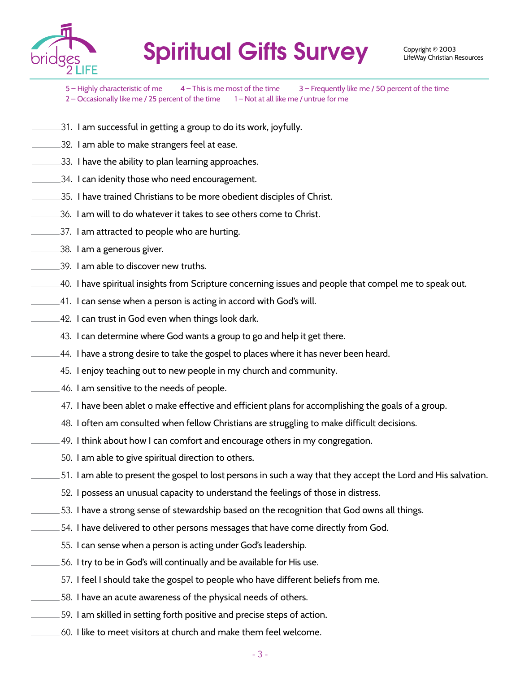

## Spiritual Gifts Survey Copyright © 2003

- 5 Highly characteristic of me 4 This is me most of the time 3 Frequently like me / 50 percent of the time 2 – Occasionally like me / 25 percent of the time 1 – Not at all like me / untrue for me
- . I am successful in getting a group to do its work, joyfully.
- . I am able to make strangers feel at ease.
- . I have the ability to plan learning approaches.
- . I can idenity those who need encouragement.
- . I have trained Christians to be more obedient disciples of Christ.
- . I am will to do whatever it takes to see others come to Christ.
- . I am attracted to people who are hurting.
- . I am a generous giver.
- . I am able to discover new truths.
- . I have spiritual insights from Scripture concerning issues and people that compel me to speak out.
- . I can sense when a person is acting in accord with God's will.
- . I can trust in God even when things look dark.
- . I can determine where God wants a group to go and help it get there.
- . I have a strong desire to take the gospel to places where it has never been heard.
- . I enjoy teaching out to new people in my church and community.
- . I am sensitive to the needs of people.
- $\_$  47. I have been ablet o make effective and efficient plans for accomplishing the goals of a group.
- . I often am consulted when fellow Christians are struggling to make difficult decisions.
- . I think about how I can comfort and encourage others in my congregation.
- . I am able to give spiritual direction to others.
- . I am able to present the gospel to lost persons in such a way that they accept the Lord and His salvation.
- . I possess an unusual capacity to understand the feelings of those in distress.
- . I have a strong sense of stewardship based on the recognition that God owns all things.
- . I have delivered to other persons messages that have come directly from God.
- . I can sense when a person is acting under God's leadership.
- . I try to be in God's will continually and be available for His use.
- . I feel I should take the gospel to people who have different beliefs from me.
- . I have an acute awareness of the physical needs of others.
- . I am skilled in setting forth positive and precise steps of action.
- . I like to meet visitors at church and make them feel welcome.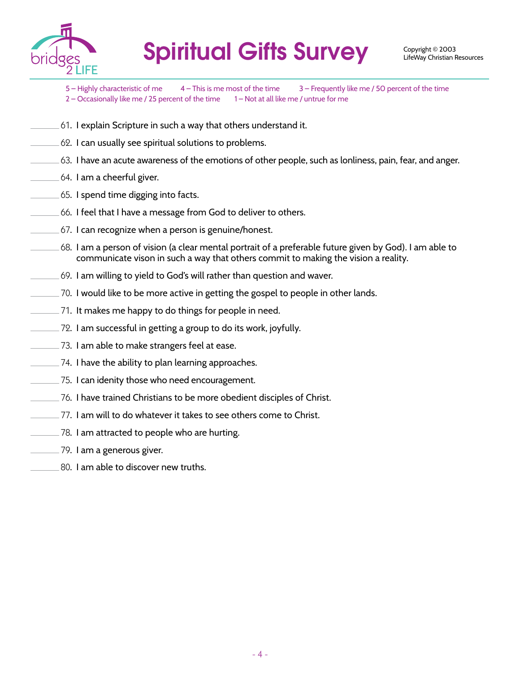

Spiritual Gifts Survey Copyright © 2003

5 – Highly characteristic of me 4 – This is me most of the time 3 – Frequently like me / 50 percent of the time 2 – Occasionally like me / 25 percent of the time 1 – Not at all like me / untrue for me

- . I explain Scripture in such a way that others understand it.
- $\pm$  62. I can usually see spiritual solutions to problems.
- . I have an acute awareness of the emotions of other people, such as lonliness, pain, fear, and anger.
- . I am a cheerful giver.
- . I spend time digging into facts.
- . I feel that I have a message from God to deliver to others.
- . I can recognize when a person is genuine/honest.
- . I am a person of vision (a clear mental portrait of a preferable future given by God). I am able to communicate vison in such a way that others commit to making the vision a reality.
- . I am willing to yield to God's will rather than question and waver.
- . I would like to be more active in getting the gospel to people in other lands.
- . It makes me happy to do things for people in need.
- . I am successful in getting a group to do its work, joyfully.
- . I am able to make strangers feel at ease.
- . I have the ability to plan learning approaches.
- . I can idenity those who need encouragement.
- . I have trained Christians to be more obedient disciples of Christ.
- . I am will to do whatever it takes to see others come to Christ.
- $\char`_\hspace{0.15mm}$   $\char`_\hspace{0.15mm}$  1 am attracted to people who are hurting.
- . I am a generous giver.
- . I am able to discover new truths.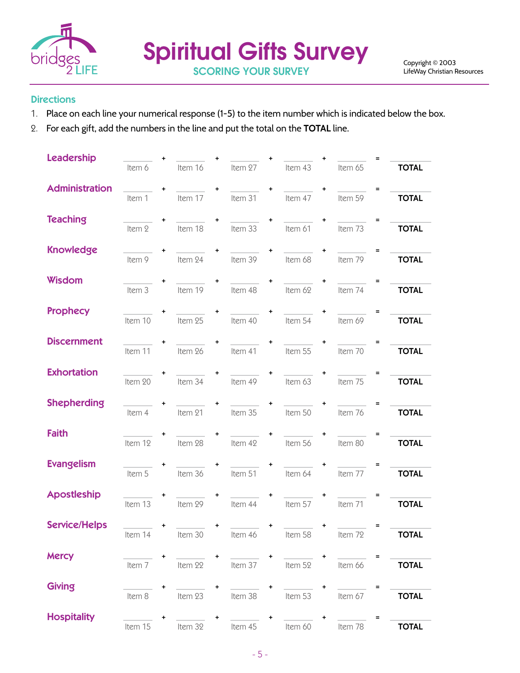

#### **Directions**

- 1. Place on each line your numerical response (1-5) to the item number which is indicated below the box.
- 2. For each gift, add the numbers in the line and put the total on the **TOTAL** line.

| <b>Leadership</b>     |         |         |         |           |         |           |         |                          |  |
|-----------------------|---------|---------|---------|-----------|---------|-----------|---------|--------------------------|--|
|                       | Item 6  | Item 16 | Item 27 |           | Item 43 |           | Item 65 | <b>TOTAL</b>             |  |
| <b>Administration</b> | Item 1  | Item 17 | Item 31 | $\ddot{}$ | Item 47 | $\ddot{}$ | Item 59 | Ξ<br><b>TOTAL</b>        |  |
| <b>Teaching</b>       | Item 2  | Item 18 | Item 33 | $\ddot{}$ | Item 61 | $\ddot{}$ | Item 73 | $\equiv$<br><b>TOTAL</b> |  |
| <b>Knowledge</b>      | Item 9  | Item 24 | Item 39 | $\ddot{}$ | Item 68 | $\ddot{}$ | Item 79 | $\equiv$<br><b>TOTAL</b> |  |
| Wisdom                | Item 3  | Item 19 | Item 48 | $\ddot{}$ | Item 62 | $\ddot{}$ | Item 74 | $\equiv$<br><b>TOTAL</b> |  |
| <b>Prophecy</b>       | Item 10 | Item 25 | Item 40 | $\ddot{}$ | Item 54 | $\ddot{}$ | Item 69 | <b>TOTAL</b>             |  |
| <b>Discernment</b>    | Item 11 | Item 26 | Item 41 | ÷         | Item 55 | $\ddot{}$ | Item 70 | Ξ<br><b>TOTAL</b>        |  |
| <b>Exhortation</b>    | Item 20 | Item 34 | Item 49 | $\ddot{}$ | Item 63 | $\ddot{}$ | Item 75 | $\equiv$<br><b>TOTAL</b> |  |
| <b>Shepherding</b>    | Item 4  | Item 21 | Item 35 | $\ddot{}$ | Item 50 | $\ddot{}$ | Item 76 | <b>TOTAL</b>             |  |
| <b>Faith</b>          | Item 12 | Item 28 | Item 42 | ÷         | Item 56 | $\ddot{}$ | Item 80 | <b>TOTAL</b>             |  |
| <b>Evangelism</b>     |         |         |         | ÷         |         | $\ddot{}$ |         |                          |  |
| <b>Apostleship</b>    | Item 5  | Item 36 | Item 51 |           | Item 64 | $\ddot{}$ | Item 77 | <b>TOTAL</b>             |  |
| <b>Service/Helps</b>  | Item 13 | Item 29 | Item 44 |           | Item 57 |           | Item 71 | <b>TOTAL</b>             |  |
|                       | Item 14 | Item 30 | Item 46 |           | ltem 58 |           | Item 72 | <b>TOTAL</b>             |  |
| <b>Mercy</b>          | Item 7  | Item 22 | Item 37 |           | Item 52 |           | Item 66 | <b>TOTAL</b>             |  |
| <b>Giving</b>         | Item 8  | Item 23 | Item 38 | ٠         | Item 53 | ٠         | Item 67 | <b>TOTAL</b>             |  |
| <b>Hospitality</b>    | Item 15 | Item 32 | Item 45 | $\ddot{}$ | Item 60 |           | Item 78 | <b>TOTAL</b>             |  |